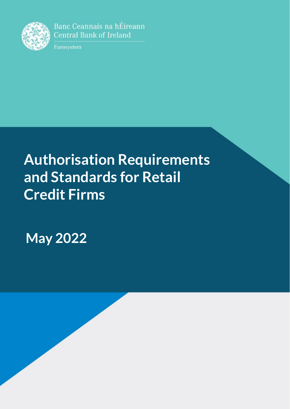

Banc Ceannais na hÉireann **Central Bank of Ireland** 

Eurosystem

# **Authorisation Requirements and Standards for Retail Credit Firms**

**May 2022**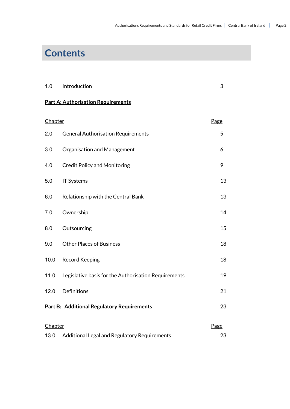# **Contents**

| 1.0 Introduction |  |
|------------------|--|
|                  |  |

## **Part A: Authorisation Requirements**

<span id="page-1-0"></span>

| Chapter                                           |                                                      | Page |
|---------------------------------------------------|------------------------------------------------------|------|
| 2.0                                               | <b>General Authorisation Requirements</b>            | 5    |
| 3.0                                               | Organisation and Management                          | 6    |
| 4.0                                               | <b>Credit Policy and Monitoring</b>                  | 9    |
| 5.0                                               | <b>IT Systems</b>                                    | 13   |
| 6.0                                               | Relationship with the Central Bank                   | 13   |
| 7.0                                               | Ownership                                            | 14   |
| 8.0                                               | Outsourcing                                          | 15   |
| 9.0                                               | <b>Other Places of Business</b>                      | 18   |
| 10.0                                              | <b>Record Keeping</b>                                | 18   |
| 11.0                                              | Legislative basis for the Authorisation Requirements | 19   |
| 12.0                                              | Definitions                                          | 21   |
| <b>Part B: Additional Regulatory Requirements</b> |                                                      | 23   |
| Chapter                                           |                                                      |      |
| 13.0                                              | Additional Legal and Regulatory Requirements         | 23   |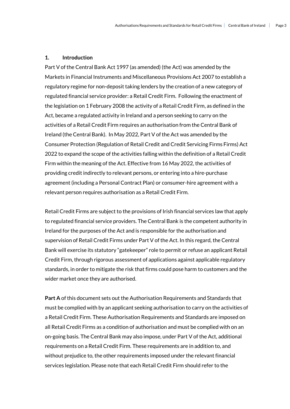#### **1. Introduction**

Part V of the Central Bank Act 1997 (as amended) (the Act) was amended by the Markets in Financial Instruments and Miscellaneous Provisions Act 2007 to establish a regulatory regime for non-deposit taking lenders by the creation of a new category of regulated financial service provider: a Retail Credit Firm. Following the enactment of the legislation on 1 February 2008 the activity of a Retail Credit Firm, as defined in the Act, became a regulated activity in Ireland and a person seeking to carry on the activities of a Retail Credit Firm requires an authorisation from the Central Bank of Ireland (the Central Bank). In May 2022, Part V of the Act was amended by the Consumer Protection (Regulation of Retail Credit and Credit Servicing Firms Firms) Act 2022 to expand the scope of the activities falling within the definition of a Retail Credit Firm within the meaning of the Act. Effective from 16 May 2022, the activities of providing credit indirectly to relevant persons, or entering into a hire-purchase agreement (including a Personal Contract Plan) or consumer-hire agreement with a relevant person requires authorisation as a Retail Credit Firm.

Retail Credit Firms are subject to the provisions of Irish financial services law that apply to regulated financial service providers. The Central Bank is the competent authority in Ireland for the purposes of the Act and is responsible for the authorisation and supervision of Retail Credit Firms under Part V of the Act. In this regard, the Central Bank will exercise its statutory "gatekeeper" role to permit or refuse an applicant Retail Credit Firm, through rigorous assessment of applications against applicable regulatory standards, in order to mitigate the risk that firms could pose harm to customers and the wider market once they are authorised.

**Part A** of this document sets out the Authorisation Requirements and Standards that must be complied with by an applicant seeking authorisation to carry on the activities of a Retail Credit Firm. These Authorisation Requirements and Standards are imposed on all Retail Credit Firms as a condition of authorisation and must be complied with on an on-going basis. The Central Bank may also impose, under Part V of the Act, additional requirements on a Retail Credit Firm. These requirements are in addition to, and without prejudice to, the other requirements imposed under the relevant financial services legislation. Please note that each Retail Credit Firm should refer to the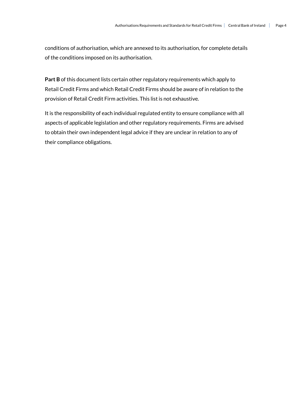conditions of authorisation, which are annexed to its authorisation, for complete details of the conditions imposed on its authorisation.

**Part B** of this document lists certain other regulatory requirements which apply to Retail Credit Firms and which Retail Credit Firms should be aware of in relation to the provision of Retail Credit Firm activities. This list is not exhaustive.

It is the responsibility of each individual regulated entity to ensure compliance with all aspects of applicable legislation and other regulatory requirements. Firms are advised to obtain their own independent legal advice if they are unclear in relation to any of their compliance obligations.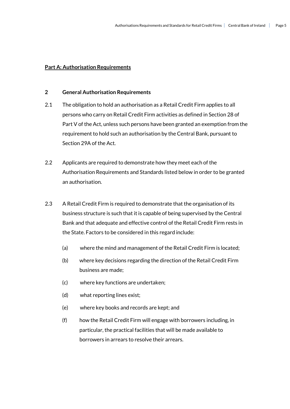#### **Part A: Authorisation Requirements**

#### **2 General Authorisation Requirements**

- 2.1 The obligation to hold an authorisation as a Retail Credit Firm applies to all persons who carry on Retail Credit Firm activities as defined in Section 28 of Part V of the Act, unless such persons have been granted an exemption from the requirement to hold such an authorisation by the Central Bank, pursuant to Section 29A of the Act.
- 2.2 Applicants are required to demonstrate how they meet each of the Authorisation Requirements and Standards listed below in order to be granted an authorisation.
- 2.3 A Retail Credit Firm is required to demonstrate that the organisation of its business structure is such that it is capable of being supervised by the Central Bank and that adequate and effective control of the Retail Credit Firm rests in the State. Factors to be considered in this regard include:
	- (a) where the mind and management of the Retail Credit Firm is located;
	- (b) where key decisions regarding the direction of the Retail Credit Firm business are made;
	- (c) where key functions are undertaken;
	- (d) what reporting lines exist;
	- (e) where key books and records are kept; and
	- (f) how the Retail Credit Firm will engage with borrowers including, in particular, the practical facilities that will be made available to borrowers in arrears to resolve their arrears.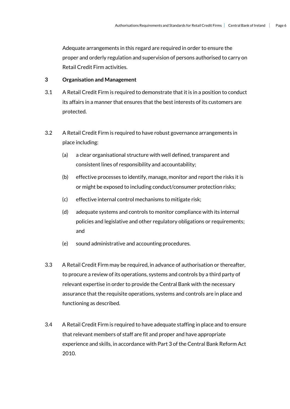Adequate arrangements in this regard are required in order to ensure the proper and orderly regulation and supervision of persons authorised to carry on Retail Credit Firm activities.

#### **3 Organisation and Management**

- 3.1 A Retail Credit Firm is required to demonstrate that it is in a position to conduct its affairs in a manner that ensures that the best interests of its customers are protected.
- 3.2 A Retail Credit Firm is required to have robust governance arrangements in place including:
	- (a) a clear organisational structure with well defined, transparent and consistent lines of responsibility and accountability;
	- (b) effective processes to identify, manage, monitor and report the risks it is or might be exposed to including conduct/consumer protection risks;
	- (c) effective internal control mechanisms to mitigate risk;
	- (d) adequate systems and controls to monitor compliance with its internal policies and legislative and other regulatory obligations or requirements; and
	- (e) sound administrative and accounting procedures.
- 3.3 A Retail Credit Firm may be required, in advance of authorisation or thereafter, to procure a review of its operations, systems and controls by a third party of relevant expertise in order to provide the Central Bank with the necessary assurance that the requisite operations, systems and controls are in place and functioning as described.
- 3.4 A Retail Credit Firm is required to have adequate staffing in place and to ensure that relevant members of staff are fit and proper and have appropriate experience and skills, in accordance with Part 3 of the Central Bank Reform Act 2010.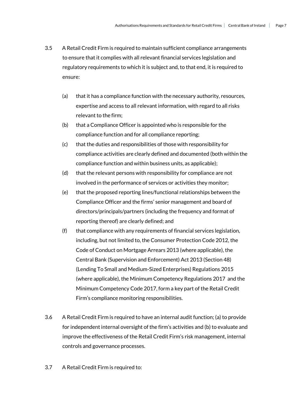- 3.5 A Retail Credit Firm is required to maintain sufficient compliance arrangements to ensure that it complies with all relevant financial services legislation and regulatory requirements to which it is subject and, to that end, it is required to ensure:
	- (a) that it has a compliance function with the necessary authority, resources, expertise and access to all relevant information, with regard to all risks relevant to the firm;
	- (b) that a Compliance Officer is appointed who is responsible for the compliance function and for all compliance reporting;
	- (c) that the duties and responsibilities of those with responsibility for compliance activities are clearly defined and documented (both within the compliance function and within business units, as applicable);
	- (d) that the relevant persons with responsibility for compliance are not involved in the performance of services or activities they monitor;
	- (e) that the proposed reporting lines/functional relationships between the Compliance Officer and the firms' senior management and board of directors/principals/partners (including the frequency and format of reporting thereof) are clearly defined; and
	- (f) that compliance with any requirements of financial services legislation, including, but not limited to, the Consumer Protection Code 2012, the Code of Conduct on Mortgage Arrears 2013 (where applicable), the Central Bank (Supervision and Enforcement) Act 2013 (Section 48) (Lending To Small and Medium-Sized Enterprises) Regulations 2015 (where applicable), the Minimum Competency Regulations 2017 and the Minimum Competency Code 2017, form a key part of the Retail Credit Firm's compliance monitoring responsibilities.
- 3.6 A Retail Credit Firm is required to have an internal audit function; (a) to provide for independent internal oversight of the firm's activities and (b) to evaluate and improve the effectiveness of the Retail Credit Firm's risk management, internal controls and governance processes.
- 3.7 A Retail Credit Firm is required to: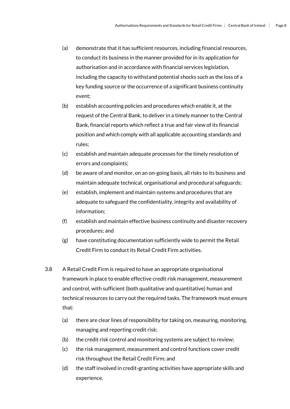- (a) demonstrate that it has sufficient resources, including financial resources, to conduct its business in the manner provided for in its application for authorisation and in accordance with financial services legislation, including the capacity to withstand potential shocks such as the loss of a key funding source or the occurrence of a significant business continuity event;
- (b) establish accounting policies and procedures which enable it, at the request of the Central Bank, to deliver in a timely manner to the Central Bank, financial reports which reflect a true and fair view of its financial position and which comply with all applicable accounting standards and rules;
- (c) establish and maintain adequate processes for the timely resolution of errors and complaints;
- (d) be aware of and monitor, on an on-going basis, all risks to its business and maintain adequate technical, organisational and procedural safeguards;
- (e) establish, implement and maintain systems and procedures that are adequate to safeguard the confidentiality, integrity and availability of information;
- (f) establish and maintain effective business continuity and disaster recovery procedures; and
- (g) have constituting documentation sufficiently wide to permit the Retail Credit Firm to conduct its Retail Credit Firm activities.
- 3.8 A Retail Credit Firm is required to have an appropriate organisational framework in place to enable effective credit risk management, measurement and control, with sufficient (both qualitative and quantitative) human and technical resources to carry out the required tasks. The framework must ensure that:
	- (a) there are clear lines of responsibility for taking on, measuring, monitoring, managing and reporting credit risk;
	- (b) the credit risk control and monitoring systems are subject to review;
	- (c) the risk management, measurement and control functions cover credit risk throughout the Retail Credit Firm; and
	- (d) the staff involved in credit-granting activities have appropriate skills and experience.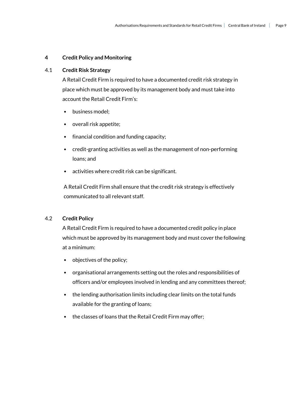#### **4 Credit Policy and Monitoring**

#### 4.1 **Credit Risk Strategy**

A Retail Credit Firm is required to have a documented credit risk strategy in place which must be approved by its management body and must take into account the Retail Credit Firm's:

- business model;
- overall risk appetite;
- financial condition and funding capacity;
- credit-granting activities as well as the management of non-performing loans; and
- activities where credit risk can be significant.

A Retail Credit Firm shall ensure that the credit risk strategy is effectively communicated to all relevant staff.

#### 4.2 **Credit Policy**

A Retail Credit Firm is required to have a documented credit policy in place which must be approved by its management body and must cover the following at a minimum:

- objectives of the policy;
- organisational arrangements setting out the roles and responsibilities of officers and/or employees involved in lending and any committees thereof;
- the lending authorisation limits including clear limits on the total funds available for the granting of loans;
- the classes of loans that the Retail Credit Firm may offer;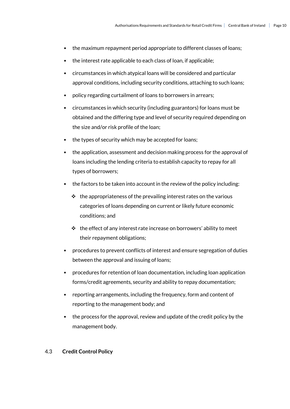- the maximum repayment period appropriate to different classes of loans;
- the interest rate applicable to each class of loan, if applicable;
- circumstances in which atypical loans will be considered and particular approval conditions, including security conditions, attaching to such loans;
- policy regarding curtailment of loans to borrowers in arrears;
- circumstances in which security (including guarantors) for loans must be obtained and the differing type and level of security required depending on the size and/or risk profile of the loan;
- the types of security which may be accepted for loans;
- the application, assessment and decision making process for the approval of loans including the lending criteria to establish capacity to repay for all types of borrowers;
- the factors to be taken into account in the review of the policy including:
	- $\cdot \cdot$  the appropriateness of the prevailing interest rates on the various categories of loans depending on current or likely future economic conditions; and
	- $\cdot \cdot$  the effect of any interest rate increase on borrowers' ability to meet their repayment obligations;
- procedures to prevent conflicts of interest and ensure segregation of duties between the approval and issuing of loans;
- procedures for retention of loan documentation, including loan application forms/credit agreements, security and ability to repay documentation;
- reporting arrangements, including the frequency, form and content of reporting to the management body; and
- the process for the approval, review and update of the credit policy by the management body.

#### 4.3 **Credit Control Policy**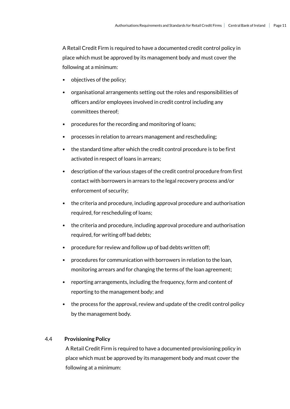A Retail Credit Firm is required to have a documented credit control policy in place which must be approved by its management body and must cover the following at a minimum:

- objectives of the policy;
- organisational arrangements setting out the roles and responsibilities of officers and/or employees involved in credit control including any committees thereof;
- procedures for the recording and monitoring of loans;
- processes in relation to arrears management and rescheduling;
- the standard time after which the credit control procedure is to be first activated in respect of loans in arrears;
- description of the various stages of the credit control procedure from first contact with borrowers in arrears to the legal recovery process and/or enforcement of security;
- the criteria and procedure, including approval procedure and authorisation required, for rescheduling of loans;
- the criteria and procedure, including approval procedure and authorisation required, for writing off bad debts;
- procedure for review and follow up of bad debts written off;
- procedures for communication with borrowers in relation to the loan, monitoring arrears and for changing the terms of the loan agreement;
- reporting arrangements, including the frequency, form and content of reporting to the management body; and
- the process for the approval, review and update of the credit control policy by the management body.

#### 4.4 **Provisioning Policy**

A Retail Credit Firm is required to have a documented provisioning policy in place which must be approved by its management body and must cover the following at a minimum: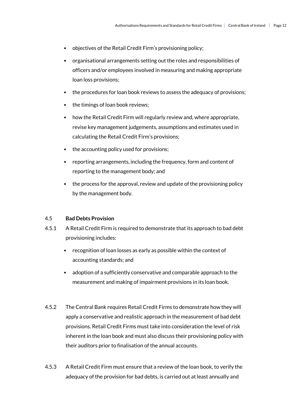- objectives of the Retail Credit Firm's provisioning policy;
- organisational arrangements setting out the roles and responsibilities of officers and/or employees involved in measuring and making appropriate loan loss provisions;
- the procedures for loan book reviews to assess the adequacy of provisions;
- the timings of loan book reviews;
- how the Retail Credit Firm will regularly review and, where appropriate, revise key management judgements, assumptions and estimates used in calculating the Retail Credit Firm's provisions;
- the accounting policy used for provisions;
- reporting arrangements, including the frequency, form and content of reporting to the management body; and
- the process for the approval, review and update of the provisioning policy by the management body.

#### 4.5 **Bad Debts Provision**

- 4.5.1 A Retail Credit Firm is required to demonstrate that its approach to bad debt provisioning includes:
	- recognition of loan losses as early as possible within the context of accounting standards; and
	- adoption of a sufficiently conservative and comparable approach to the measurement and making of impairment provisions in its loan book.
- 4.5.2 The Central Bank requires Retail Credit Firms to demonstrate how they will apply a conservative and realistic approach in the measurement of bad debt provisions. Retail Credit Firms must take into consideration the level of risk inherent in the loan book and must also discuss their provisioning policy with their auditors prior to finalisation of the annual accounts.
- 4.5.3 A Retail Credit Firm must ensure that a review of the loan book, to verify the adequacy of the provision for bad debts, is carried out at least annually and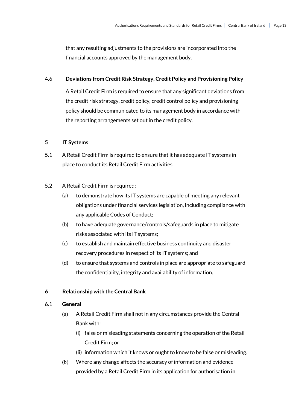that any resulting adjustments to the provisions are incorporated into the financial accounts approved by the management body.

#### 4.6 **Deviations from Credit Risk Strategy, Credit Policy and Provisioning Policy**

A Retail Credit Firm is required to ensure that any significant deviations from the credit risk strategy, credit policy, credit control policy and provisioning policy should be communicated to its management body in accordance with the reporting arrangements set out in the credit policy.

#### **5 IT Systems**

5.1 A Retail Credit Firm is required to ensure that it has adequate IT systems in place to conduct its Retail Credit Firm activities.

#### 5.2 A Retail Credit Firm is required:

- (a) to demonstrate how its IT systems are capable of meeting any relevant obligations under financial services legislation, including compliance with any applicable Codes of Conduct;
- (b) to have adequate governance/controls/safeguards in place to mitigate risks associated with its IT systems;
- (c) to establish and maintain effective business continuity and disaster recovery procedures in respect of its IT systems; and
- (d) to ensure that systems and controls in place are appropriate to safeguard the confidentiality, integrity and availability of information.

#### **6 Relationship with the Central Bank**

#### 6.1 **General**

- (a) A Retail Credit Firm shall not in any circumstances provide the Central Bank with:
	- (i) false or misleading statements concerning the operation of the Retail Credit Firm; or
	- (ii) information which it knows or ought to know to be false or misleading.
- (b) Where any change affects the accuracy of information and evidence provided by a Retail Credit Firm in its application for authorisation in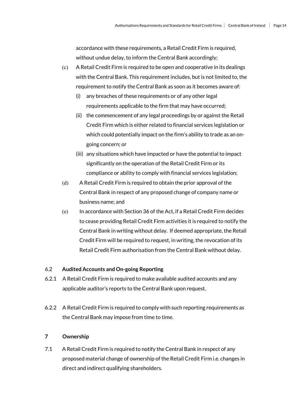accordance with these requirements, a Retail Credit Firm is required, without undue delay, to inform the Central Bank accordingly;

- (c) A Retail Credit Firm is required to be open and cooperative in its dealings with the Central Bank. This requirement includes, but is not limited to, the requirement to notify the Central Bank as soon as it becomes aware of:
	- (i) any breaches of these requirements or of any other legal requirements applicable to the firm that may have occurred;
	- (ii) the commencement of any legal proceedings by or against the Retail Credit Firm which is either related to financial services legislation or which could potentially impact on the firm's ability to trade as an ongoing concern; or
	- (iii) any situations which have impacted or have the potential to impact significantly on the operation of the Retail Credit Firm or its compliance or ability to comply with financial services legislation;
- (d) A Retail Credit Firm is required to obtain the prior approval of the Central Bank in respect of any proposed change of company name or business name; and
- (e) In accordance with Section 36 of the Act, if a Retail Credit Firm decides to cease providing Retail Credit Firm activities it is required to notify the Central Bank in writing without delay. If deemed appropriate, the Retail Credit Firm will be required to request, in writing, the revocation of its Retail Credit Firm authorisation from the Central Bank without delay.

#### 6.2 **Audited Accounts and On-going Reporting**

- 6.2.1 A Retail Credit Firm is required to make available audited accounts and any applicable auditor's reports to the Central Bank upon request.
- 6.2.2 A Retail Credit Firm is required to comply with such reporting requirements as the Central Bank may impose from time to time.

#### **7 Ownership**

7.1 A Retail Credit Firm is required to notify the Central Bank in respect of any proposed material change of ownership of the Retail Credit Firm i.e. changes in direct and indirect qualifying shareholders.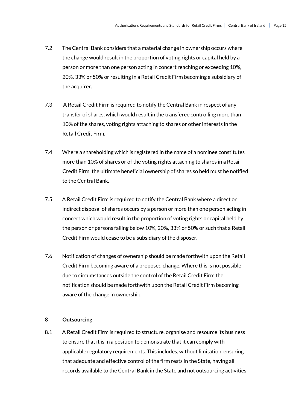- 7.2 The Central Bank considers that a material change in ownership occurs where the change would result in the proportion of voting rights or capital held by a person or more than one person acting in concert reaching or exceeding 10%, 20%, 33% or 50% or resulting in a Retail Credit Firm becoming a subsidiary of the acquirer.
- 7.3 A Retail Credit Firm is required to notify the Central Bank in respect of any transfer of shares, which would result in the transferee controlling more than 10% of the shares, voting rights attaching to shares or other interests in the Retail Credit Firm.
- 7.4 Where a shareholding which is registered in the name of a nominee constitutes more than 10% of shares or of the voting rights attaching to shares in a Retail Credit Firm, the ultimate beneficial ownership of shares so held must be notified to the Central Bank.
- 7.5 A Retail Credit Firm is required to notify the Central Bank where a direct or indirect disposal of shares occurs by a person or more than one person acting in concert which would result in the proportion of voting rights or capital held by the person or persons falling below 10%, 20%, 33% or 50% or such that a Retail Credit Firm would cease to be a subsidiary of the disposer.
- 7.6 Notification of changes of ownership should be made forthwith upon the Retail Credit Firm becoming aware of a proposed change. Where this is not possible due to circumstances outside the control of the Retail Credit Firm the notification should be made forthwith upon the Retail Credit Firm becoming aware of the change in ownership.

#### **8 Outsourcing**

8.1 A Retail Credit Firm is required to structure, organise and resource its business to ensure that it is in a position to demonstrate that it can comply with applicable regulatory requirements. This includes, without limitation, ensuring that adequate and effective control of the firm rests in the State, having all records available to the Central Bank in the State and not outsourcing activities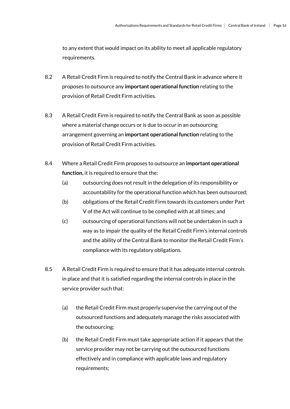to any extent that would impact on its ability to meet all applicable regulatory requirements.

- 8.2 A Retail Credit Firm is required to notify the Central Bank in advance where it proposes to outsource any **important operational function** relating to the provision of Retail Credit Firm activities.
- 8.3 A Retail Credit Firm is required to notify the Central Bank as soon as possible where a material change occurs or is due to occur in an outsourcing arrangement governing an **important operational function** relating to the provision of Retail Credit Firm activities.
- 8.4 Where a Retail Credit Firm proposes to outsource an **important operational function,** it is required to ensure that the:
	- (a) outsourcing does not result in the delegation of its responsibility or accountability for the operational function which has been outsourced;
	- (b) obligations of the Retail Credit Firm towards its customers under Part V of the Act will continue to be complied with at all times; and
	- (c) outsourcing of operational functions will not be undertaken in such a way as to impair the quality of the Retail Credit Firm's internal controls and the ability of the Central Bank to monitor the Retail Credit Firm's compliance with its regulatory obligations.
- 8.5 A Retail Credit Firm is required to ensure that it has adequate internal controls in place and that it is satisfied regarding the internal controls in place in the service provider such that:
	- (a) the Retail Credit Firm must properly supervise the carrying out of the outsourced functions and adequately manage the risks associated with the outsourcing;
	- (b) the Retail Credit Firm must take appropriate action if it appears that the service provider may not be carrying out the outsourced functions effectively and in compliance with applicable laws and regulatory requirements;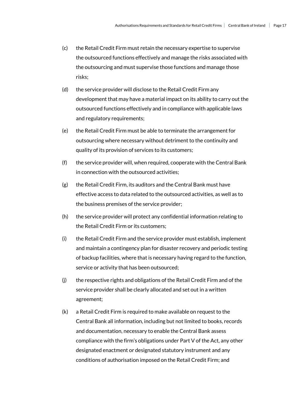- (c) the Retail Credit Firm must retain the necessary expertise to supervise the outsourced functions effectively and manage the risks associated with the outsourcing and must supervise those functions and manage those risks;
- (d) the service provider will disclose to the Retail Credit Firm any development that may have a material impact on its ability to carry out the outsourced functions effectively and in compliance with applicable laws and regulatory requirements;
- (e) the Retail Credit Firm must be able to terminate the arrangement for outsourcing where necessary without detriment to the continuity and quality of its provision of services to its customers;
- (f) the service provider will, when required, cooperate with the Central Bank in connection with the outsourced activities;
- (g) the Retail Credit Firm, its auditors and the Central Bank must have effective access to data related to the outsourced activities, as well as to the business premises of the service provider;
- (h) the service provider will protect any confidential information relating to the Retail Credit Firm or its customers;
- (i) the Retail Credit Firm and the service provider must establish, implement and maintain a contingency plan for disaster recovery and periodic testing of backup facilities, where that is necessary having regard to the function, service or activity that has been outsourced;
- (j) the respective rights and obligations of the Retail Credit Firm and of the service provider shall be clearly allocated and set out in a written agreement;
- (k) a Retail Credit Firm is required to make available on request to the Central Bank all information, including but not limited to books, records and documentation, necessary to enable the Central Bank assess compliance with the firm's obligations under Part V of the Act, any other designated enactment or designated statutory instrument and any conditions of authorisation imposed on the Retail Credit Firm; and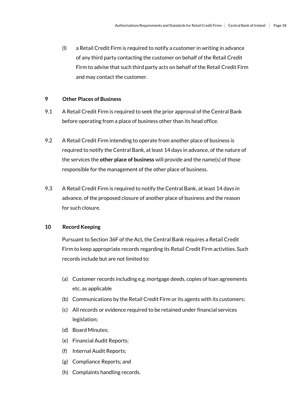(l) a Retail Credit Firm is required to notify a customer in writing in advance of any third party contacting the customer on behalf of the Retail Credit Firm to advise that such third party acts on behalf of the Retail Credit Firm and may contact the customer.

#### **9 Other Places of Business**

- 9.1 A Retail Credit Firm is required to seek the prior approval of the Central Bank before operating from a place of business other than its head office.
- 9.2 A Retail Credit Firm intending to operate from another place of business is required to notify the Central Bank, at least 14 days in advance, of the nature of the services the **other place of business** will provide and the name(s) of those responsible for the management of the other place of business.
- 9.3 A Retail Credit Firm is required to notify the Central Bank, at least 14 days in advance, of the proposed closure of another place of business and the reason for such closure.

#### **10 Record Keeping**

Pursuant to Section 36F of the Act, the Central Bank requires a Retail Credit Firm to keep appropriate records regarding its Retail Credit Firm activities. Such records include but are not limited to:

- (a) Customer records including e.g. mortgage deeds, copies of loan agreements etc. as applicable
- (b) Communications by the Retail Credit Firm or its agents with its customers;
- (c) All records or evidence required to be retained under financial services legislation;
- (d) Board Minutes;
- (e) Financial Audit Reports;
- (f) Internal Audit Reports;
- (g) Compliance Reports; and
- (h) Complaints handling records.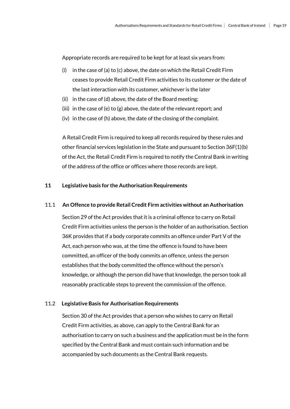Appropriate records are required to be kept for at least six years from:

- (i) in the case of (a) to (c) above, the date on which the Retail Credit Firm ceases to provide Retail Credit Firm activities to its customer or the date of the last interaction with its customer, whichever is the later
- (ii) in the case of (d) above, the date of the Board meeting;
- (iii) in the case of (e) to (g) above, the date of the relevant report; and
- (iv) in the case of (h) above, the date of the closing of the complaint.

A Retail Credit Firm is required to keep all records required by these rules and other financial services legislation in the State and pursuant to Section 36F(1)(b) of the Act, the Retail Credit Firm is required to notify the Central Bank in writing of the address of the office or offices where those records are kept.

#### **11 Legislative basis for the Authorisation Requirements**

#### 11.1 **An Offence to provide Retail Credit Firm activities without an Authorisation**

 Section 29 of the Act provides that it is a criminal offence to carry on Retail Credit Firm activities unless the person is the holder of an authorisation. Section 36K provides that if a body corporate commits an offence under Part V of the Act, each person who was, at the time the offence is found to have been committed, an officer of the body commits an offence, unless the person establishes that the body committed the offence without the person's knowledge, or although the person did have that knowledge, the person took all reasonably practicable steps to prevent the commission of the offence.

#### 11.2 **Legislative Basis for Authorisation Requirements**

Section 30 of the Act provides that a person who wishes to carry on Retail Credit Firm activities, as above, can apply to the Central Bank for an authorisation to carry on such a business and the application must be in the form specified by the Central Bank and must contain such information and be accompanied by such documents as the Central Bank requests.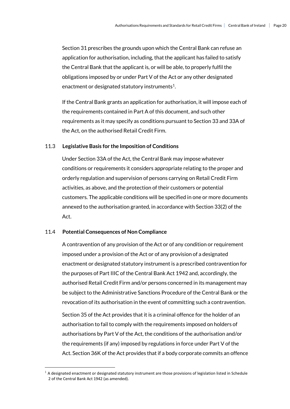Section 31 prescribes the grounds upon which the Central Bank can refuse an application for authorisation, including, that the applicant has failed to satisfy the Central Bank that the applicant is, or will be able, to properly fulfil the obligations imposed by or under Part V of the Act or any other designated enactment or designated statutory instruments<sup>1</sup>.

If the Central Bank grants an application for authorisation, it will impose each of the requirements contained in Part A of this document, and such other requirements as it may specify as conditions pursuant to Section 33 and 33A of the Act, on the authorised Retail Credit Firm.

#### 11.3 **Legislative Basis for the Imposition of Conditions**

Under Section 33A of the Act, the Central Bank may impose whatever conditions or requirements it considers appropriate relating to the proper and orderly regulation and supervision of persons carrying on Retail Credit Firm activities, as above, and the protection of their customers or potential customers. The applicable conditions will be specified in one or more documents annexed to the authorisation granted, in accordance with Section 33(2) of the Act.

#### 11.4 **Potential Consequences of Non Compliance**

A contravention of any provision of the Act or of any condition or requirement imposed under a provision of the Act or of any provision of a designated enactment or designated statutory instrumentis a prescribed contravention for the purposes of Part IIIC of the Central Bank Act 1942 and, accordingly, the authorised Retail Credit Firm and/or persons concerned in its management may be subject to the Administrative Sanctions Procedure of the Central Bank or the revocation of its authorisation in the event of committing such a contravention.

Section 35 of the Act provides that it is a criminal offence for the holder of an authorisation to fail to comply with the requirements imposed on holders of authorisations by Part V of the Act, the conditions of the authorisation and/or the requirements (if any) imposed by regulations in force under Part V of the Act. Section 36K of the Act provides that if a body corporate commits an offence

 $<sup>1</sup>$  A designated enactment or designated statutory instrument are those provisions of legislation listed in Schedule</sup> 2 of the Central Bank Act 1942 (as amended).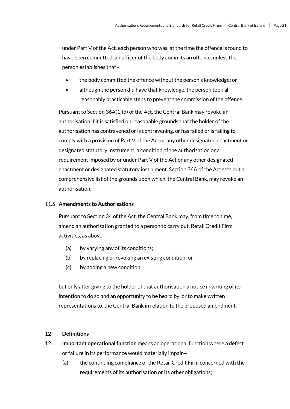under Part V of the Act, each person who was, at the time the offence is found to have been committed, an officer of the body commits an offence, unless the person establishes that-

- the body committed the offence without the person's knowledge; or
- although the person did have that knowledge, the person took all reasonably practicable steps to prevent the commission of the offence.

Pursuant to Section 36A(1)(d) of the Act, the Central Bank may revoke an authorisation if it is satisfied on reasonable grounds that the holder of the authorisation has contravened or is contravening, or has failed or is failing to comply with a provision of Part V of the Act or any other designated enactment or designated statutory instrument, a condition of the authorisation or a requirement imposed by or under Part V of the Act or any other designated enactment or designated statutory instrument. Section 36A of the Act sets out a comprehensive list of the grounds upon which, the Central Bank, may revoke an authorisation.

#### 11.5 **Amendments to Authorisations**

Pursuant to Section 34 of the Act, the Central Bank may, from time to time, amend an authorisation granted to a person to carry out, Retail Credit Firm activities, as above –

- (a) by varying any of its conditions;
- (b) by replacing or revoking an existing condition; or
- (c) by adding a new condition

but only after giving to the holder of that authorisation a notice in writing of its intention to do so and an opportunity to be heard by, or to make written representations to, the Central Bank in relation to the proposed amendment.

#### **12 Definitions**

- 12.1 **Important operational function** means an operational function where a defect or failure in its performance would materially impair—
	- (a) the continuing compliance of the Retail Credit Firm concerned with the requirements of its authorisation or its other obligations;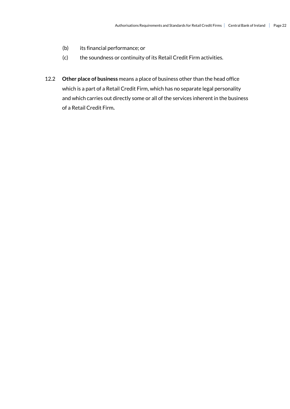- (b) its financial performance; or
- (c) the soundness or continuity of its Retail Credit Firm activities.
- 12.2 **Other place of business** means a place of business other than the head office which is a part of a Retail Credit Firm, which has no separate legal personality and which carries out directly some or all of the services inherent in the business of a Retail Credit Firm**.**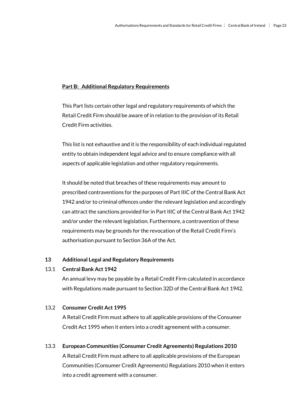#### **Part B: Additional Regulatory Requirements**

This Part lists certain other legal and regulatory requirements of which the Retail Credit Firm should be aware of in relation to the provision of its Retail Credit Firm activities.

This list is not exhaustive and it is the responsibility of each individual regulated entity to obtain independent legal advice and to ensure compliance with all aspects of applicable legislation and other regulatory requirements.

It should be noted that breaches of these requirements may amount to prescribed contraventions for the purposes of Part IIIC of the Central Bank Act 1942 and/or to criminal offences under the relevant legislation and accordingly can attract the sanctions provided for in Part IIIC of the Central Bank Act 1942 and/or under the relevant legislation. Furthermore, a contravention of these requirements may be grounds for the revocation of the Retail Credit Firm's authorisation pursuant to Section 36A of the Act.

#### **13 Additional Legal and Regulatory Requirements**

#### 13.1 **Central Bank Act 1942**

An annual levy may be payable by a Retail Credit Firm calculated in accordance with Regulations made pursuant to Section 32D of the Central Bank Act 1942.

#### 13.2 **Consumer Credit Act 1995**

A Retail Credit Firm must adhere to all applicable provisions of the Consumer Credit Act 1995 when it enters into a credit agreement with a consumer.

#### 13.3 **European Communities (Consumer Credit Agreements) Regulations 2010**

A Retail Credit Firm must adhere to all applicable provisions of the European Communities (Consumer Credit Agreements) Regulations 2010 when it enters into a credit agreement with a consumer.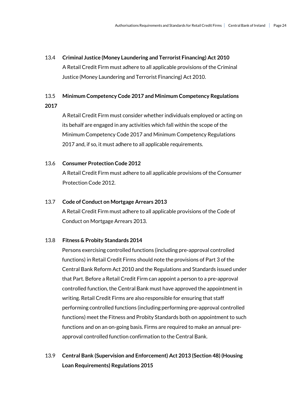# 13.4 **Criminal Justice (Money Laundering and Terrorist Financing) Act 2010** A Retail Credit Firm must adhere to all applicable provisions of the Criminal Justice (Money Laundering and Terrorist Financing) Act 2010.

#### 13.5 **Minimum Competency Code 2017 and Minimum Competency Regulations**

**2017**

A Retail Credit Firm must consider whether individuals employed or acting on its behalf are engaged in any activities which fall within the scope of the Minimum Competency Code 2017 and Minimum Competency Regulations 2017 and, if so, it must adhere to all applicable requirements.

#### 13.6 **Consumer Protection Code 2012**

A Retail Credit Firm must adhere to all applicable provisions of the Consumer Protection Code 2012.

#### 13.7 **Code of Conduct on Mortgage Arrears 2013**

A Retail Credit Firm must adhere to all applicable provisions of the Code of Conduct on Mortgage Arrears 2013.

#### 13.8 **Fitness & Probity Standards 2014**

Persons exercising controlled functions (including pre-approval controlled functions) in Retail Credit Firms should note the provisions of Part 3 of the Central Bank Reform Act 2010 and the Regulations and Standards issued under that Part. Before a Retail Credit Firm can appoint a person to a pre-approval controlled function, the Central Bank must have approved the appointment in writing. Retail Credit Firms are also responsible for ensuring that staff performing controlled functions (including performing pre-approval controlled functions) meet the Fitness and Probity Standards both on appointment to such functions and on an on-going basis. Firms are required to make an annual preapproval controlled function confirmation to the Central Bank.

### 13.9 **Central Bank (Supervision and Enforcement) Act 2013 (Section 48) (Housing Loan Requirements) Regulations 2015**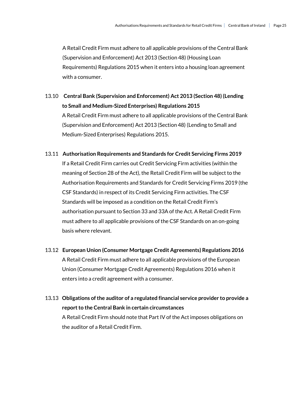A Retail Credit Firm must adhere to all applicable provisions of the Central Bank (Supervision and Enforcement) Act 2013 (Section 48) (Housing Loan Requirements) Regulations 2015 when it enters into a housing loan agreement with a consumer.

- 13.10 **Central Bank (Supervision and Enforcement) Act 2013 (Section 48) (Lending to Small and Medium-Sized Enterprises) Regulations 2015** A Retail Credit Firm must adhere to all applicable provisions of the Central Bank (Supervision and Enforcement) Act 2013 (Section 48) (Lending to Small and Medium-Sized Enterprises) Regulations 2015.
- 13.11 **Authorisation Requirements and Standards for Credit Servicing Firms 2019** If a Retail Credit Firm carries out Credit Servicing Firm activities (within the meaning of Section 28 of the Act), the Retail Credit Firm will be subject to the Authorisation Requirements and Standards for Credit Servicing Firms 2019 (the CSF Standards) in respect of its Credit Servicing Firm activities. The CSF Standards will be imposed as a condition on the Retail Credit Firm's authorisation pursuant to Section 33 and 33A of the Act. A Retail Credit Firm must adhere to all applicable provisions of the CSF Standards on an on-going basis where relevant.
- 13.12 **European Union (Consumer Mortgage Credit Agreements) Regulations 2016**  A Retail Credit Firm must adhere to all applicable provisions of the European Union (Consumer Mortgage Credit Agreements) Regulations 2016 when it enters into a credit agreement with a consumer.
- 13**.**13 **Obligations of the auditor of a regulated financial service provider to provide a report to the Central Bank in certain circumstances**  A Retail Credit Firm should note that Part IV of the Act imposes obligations on the auditor of a Retail Credit Firm.